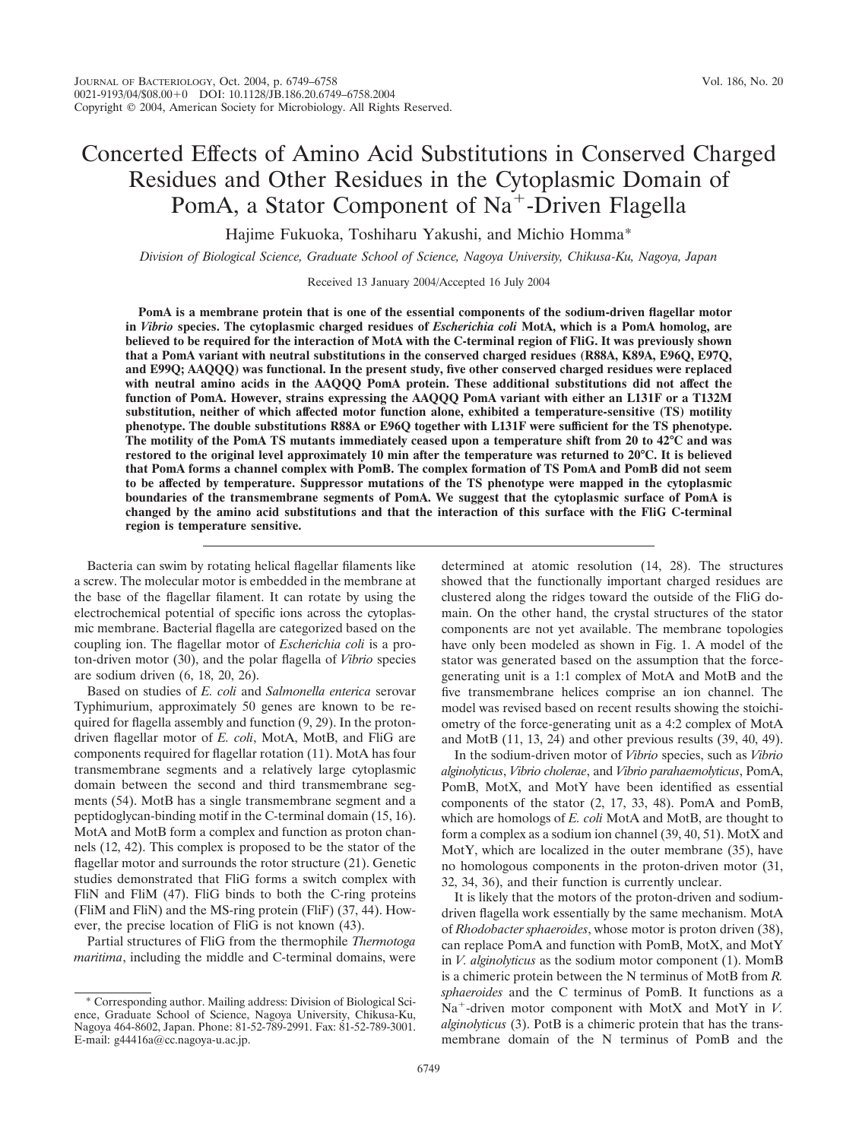# Concerted Effects of Amino Acid Substitutions in Conserved Charged Residues and Other Residues in the Cytoplasmic Domain of PomA, a Stator Component of Na<sup>+</sup>-Driven Flagella

Hajime Fukuoka, Toshiharu Yakushi, and Michio Homma\*

*Division of Biological Science, Graduate School of Science, Nagoya University, Chikusa-Ku, Nagoya, Japan*

Received 13 January 2004/Accepted 16 July 2004

**PomA is a membrane protein that is one of the essential components of the sodium-driven flagellar motor in** *Vibrio* **species. The cytoplasmic charged residues of** *Escherichia coli* **MotA, which is a PomA homolog, are believed to be required for the interaction of MotA with the C-terminal region of FliG. It was previously shown that a PomA variant with neutral substitutions in the conserved charged residues (R88A, K89A, E96Q, E97Q, and E99Q; AAQQQ) was functional. In the present study, five other conserved charged residues were replaced with neutral amino acids in the AAQQQ PomA protein. These additional substitutions did not affect the function of PomA. However, strains expressing the AAQQQ PomA variant with either an L131F or a T132M substitution, neither of which affected motor function alone, exhibited a temperature-sensitive (TS) motility phenotype. The double substitutions R88A or E96Q together with L131F were sufficient for the TS phenotype. The motility of the PomA TS mutants immediately ceased upon a temperature shift from 20 to 42°C and was restored to the original level approximately 10 min after the temperature was returned to 20°C. It is believed that PomA forms a channel complex with PomB. The complex formation of TS PomA and PomB did not seem to be affected by temperature. Suppressor mutations of the TS phenotype were mapped in the cytoplasmic boundaries of the transmembrane segments of PomA. We suggest that the cytoplasmic surface of PomA is changed by the amino acid substitutions and that the interaction of this surface with the FliG C-terminal region is temperature sensitive.**

Bacteria can swim by rotating helical flagellar filaments like a screw. The molecular motor is embedded in the membrane at the base of the flagellar filament. It can rotate by using the electrochemical potential of specific ions across the cytoplasmic membrane. Bacterial flagella are categorized based on the coupling ion. The flagellar motor of *Escherichia coli* is a proton-driven motor (30), and the polar flagella of *Vibrio* species are sodium driven (6, 18, 20, 26).

Based on studies of *E. coli* and *Salmonella enterica* serovar Typhimurium, approximately 50 genes are known to be required for flagella assembly and function (9, 29). In the protondriven flagellar motor of *E. coli*, MotA, MotB, and FliG are components required for flagellar rotation (11). MotA has four transmembrane segments and a relatively large cytoplasmic domain between the second and third transmembrane segments (54). MotB has a single transmembrane segment and a peptidoglycan-binding motif in the C-terminal domain (15, 16). MotA and MotB form a complex and function as proton channels (12, 42). This complex is proposed to be the stator of the flagellar motor and surrounds the rotor structure (21). Genetic studies demonstrated that FliG forms a switch complex with FliN and FliM (47). FliG binds to both the C-ring proteins (FliM and FliN) and the MS-ring protein (FliF) (37, 44). However, the precise location of FliG is not known (43).

Partial structures of FliG from the thermophile *Thermotoga maritima*, including the middle and C-terminal domains, were determined at atomic resolution (14, 28). The structures showed that the functionally important charged residues are clustered along the ridges toward the outside of the FliG domain. On the other hand, the crystal structures of the stator components are not yet available. The membrane topologies have only been modeled as shown in Fig. 1. A model of the stator was generated based on the assumption that the forcegenerating unit is a 1:1 complex of MotA and MotB and the five transmembrane helices comprise an ion channel. The model was revised based on recent results showing the stoichiometry of the force-generating unit as a 4:2 complex of MotA and MotB (11, 13, 24) and other previous results (39, 40, 49).

In the sodium-driven motor of *Vibrio* species, such as *Vibrio alginolyticus*, *Vibrio cholerae*, and *Vibrio parahaemolyticus*, PomA, PomB, MotX, and MotY have been identified as essential components of the stator (2, 17, 33, 48). PomA and PomB, which are homologs of *E. coli* MotA and MotB, are thought to form a complex as a sodium ion channel (39, 40, 51). MotX and MotY, which are localized in the outer membrane (35), have no homologous components in the proton-driven motor (31, 32, 34, 36), and their function is currently unclear.

It is likely that the motors of the proton-driven and sodiumdriven flagella work essentially by the same mechanism. MotA of *Rhodobacter sphaeroides*, whose motor is proton driven (38), can replace PomA and function with PomB, MotX, and MotY in *V. alginolyticus* as the sodium motor component (1). MomB is a chimeric protein between the N terminus of MotB from *R. sphaeroides* and the C terminus of PomB. It functions as a Na<sup>+</sup>-driven motor component with MotX and MotY in *V*. *alginolyticus* (3). PotB is a chimeric protein that has the transmembrane domain of the N terminus of PomB and the

<sup>\*</sup> Corresponding author. Mailing address: Division of Biological Science, Graduate School of Science, Nagoya University, Chikusa-Ku, Nagoya 464-8602, Japan. Phone: 81-52-789-2991. Fax: 81-52-789-3001. E-mail: g44416a@cc.nagoya-u.ac.jp.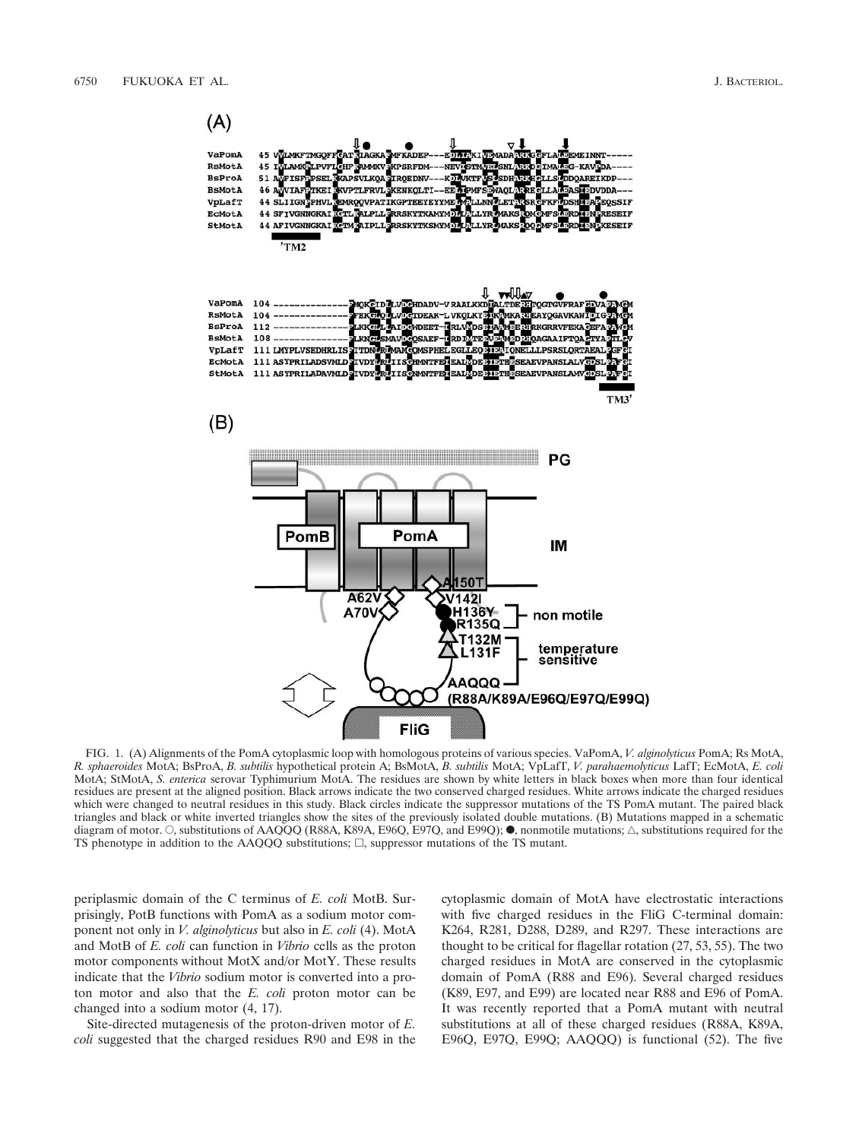

FIG. 1. (A) Alignments of the PomA cytoplasmic loop with homologous proteins of various species. VaPomA, *V. alginolyticus* PomA; Rs MotA, *R. sphaeroides* MotA; BsProA, *B. subtilis* hypothetical protein A; BsMotA, *B. subtilis* MotA; VpLafT, *V. parahaemolyticus* LafT; EcMotA, *E. coli* MotA; StMotA, *S. enterica* serovar Typhimurium MotA. The residues are shown by white letters in black boxes when more than four identical residues are present at the aligned position. Black arrows indicate the two conserved charged residues. White arrows indicate the charged residues which were changed to neutral residues in this study. Black circles indicate the suppressor mutations of the TS PomA mutant. The paired black triangles and black or white inverted triangles show the sites of the previously isolated double mutations. (B) Mutations mapped in a schematic diagram of motor.  $\circ$ , substitutions of AAOOO (R88A, K89A, E96O, E97O, and E99O);  $\bullet$ , nonmotile mutations;  $\triangle$ , substitutions required for the TS phenotype in addition to the  $AAQQQ$  substitutions;  $\Box$ , suppressor mutations of the TS mutant.

periplasmic domain of the C terminus of *E. coli* MotB. Surprisingly, PotB functions with PomA as a sodium motor component not only in *V. alginolyticus* but also in *E. coli* (4). MotA and MotB of *E. coli* can function in *Vibrio* cells as the proton motor components without MotX and/or MotY. These results indicate that the *Vibrio* sodium motor is converted into a proton motor and also that the *E. coli* proton motor can be changed into a sodium motor (4, 17).

Site-directed mutagenesis of the proton-driven motor of *E. coli* suggested that the charged residues R90 and E98 in the cytoplasmic domain of MotA have electrostatic interactions with five charged residues in the FliG C-terminal domain: K264, R281, D288, D289, and R297. These interactions are thought to be critical for flagellar rotation (27, 53, 55). The two charged residues in MotA are conserved in the cytoplasmic domain of PomA (R88 and E96). Several charged residues (K89, E97, and E99) are located near R88 and E96 of PomA. It was recently reported that a PomA mutant with neutral substitutions at all of these charged residues (R88A, K89A, E96Q, E97Q, E99Q; AAQQQ) is functional (52). The five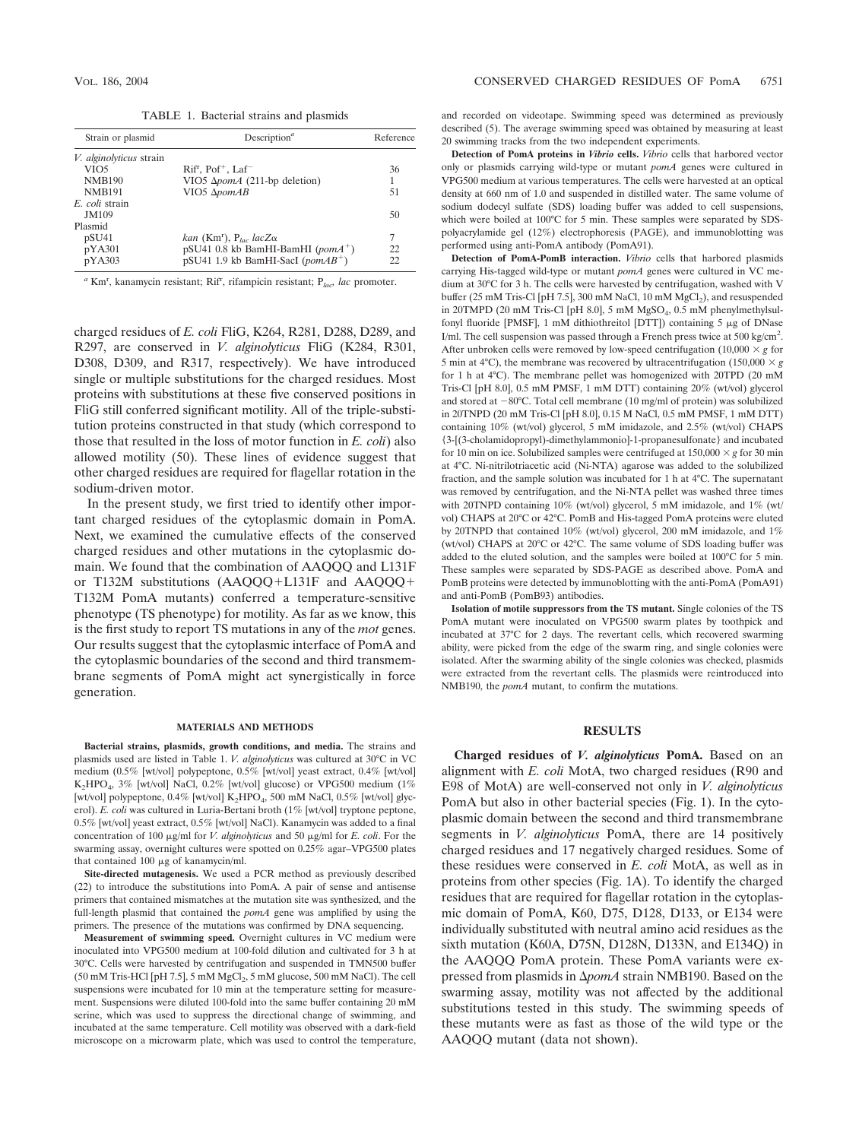TABLE 1. Bacterial strains and plasmids

| Strain or plasmid              | Description <sup><math>a</math></sup>                  |     |
|--------------------------------|--------------------------------------------------------|-----|
| <i>V. alginolyticus</i> strain |                                                        |     |
| VIO <sub>5</sub>               | $Rifr$ , $Pof+$ , $Laf-$                               | 36  |
| <b>NMB190</b>                  | VIO5 Δ <i>pomA</i> (211-bp deletion)                   |     |
| <b>NMB191</b>                  | VIO <sub>5</sub> Δ <sub>pomAB</sub>                    | 51  |
| E. coli strain                 |                                                        |     |
| JM109                          |                                                        | 50  |
| Plasmid                        |                                                        |     |
| pSU41                          | kan (Km <sup>r</sup> ), P <sub>lac</sub> lacZ $\alpha$ | 7   |
| pYA301                         | $pSU41$ 0.8 kb BamHI-BamHI (pomA <sup>+</sup> )        | 22. |
| pYA303                         | $pSU41$ 1.9 kb BamHI-SacI (pomAB <sup>+</sup> )        | 22. |

*<sup>a</sup>* Km<sup>r</sup> , kanamycin resistant; Rif<sup>r</sup> , rifampicin resistant; P*lac, lac* promoter.

charged residues of *E. coli* FliG, K264, R281, D288, D289, and R297, are conserved in *V. alginolyticus* FliG (K284, R301, D308, D309, and R317, respectively). We have introduced single or multiple substitutions for the charged residues. Most proteins with substitutions at these five conserved positions in FliG still conferred significant motility. All of the triple-substitution proteins constructed in that study (which correspond to those that resulted in the loss of motor function in *E. coli*) also allowed motility (50). These lines of evidence suggest that other charged residues are required for flagellar rotation in the sodium-driven motor.

In the present study, we first tried to identify other important charged residues of the cytoplasmic domain in PomA. Next, we examined the cumulative effects of the conserved charged residues and other mutations in the cytoplasmic domain. We found that the combination of AAQQQ and L131F or T132M substitutions (AAQQQ+L131F and AAQQQ+ T132M PomA mutants) conferred a temperature-sensitive phenotype (TS phenotype) for motility. As far as we know, this is the first study to report TS mutations in any of the *mot* genes. Our results suggest that the cytoplasmic interface of PomA and the cytoplasmic boundaries of the second and third transmembrane segments of PomA might act synergistically in force generation.

#### **MATERIALS AND METHODS**

**Bacterial strains, plasmids, growth conditions, and media.** The strains and plasmids used are listed in Table 1. *V. alginolyticus* was cultured at 30°C in VC medium (0.5% [wt/vol] polypeptone, 0.5% [wt/vol] yeast extract, 0.4% [wt/vol] K2HPO4, 3% [wt/vol] NaCl, 0.2% [wt/vol] glucose) or VPG500 medium (1% [wt/vol] polypeptone,  $0.4\%$  [wt/vol]  $K_2HPO_4$ , 500 mM NaCl,  $0.5\%$  [wt/vol] glycerol). *E. coli* was cultured in Luria-Bertani broth (1% [wt/vol] tryptone peptone, 0.5% [wt/vol] yeast extract, 0.5% [wt/vol] NaCl). Kanamycin was added to a final concentration of 100  $\mu$ g/ml for *V. alginolyticus* and 50  $\mu$ g/ml for *E. coli*. For the swarming assay, overnight cultures were spotted on 0.25% agar–VPG500 plates that contained  $100 \mu$ g of kanamycin/ml.

**Site-directed mutagenesis.** We used a PCR method as previously described (22) to introduce the substitutions into PomA. A pair of sense and antisense primers that contained mismatches at the mutation site was synthesized, and the full-length plasmid that contained the *pomA* gene was amplified by using the primers. The presence of the mutations was confirmed by DNA sequencing.

**Measurement of swimming speed.** Overnight cultures in VC medium were inoculated into VPG500 medium at 100-fold dilution and cultivated for 3 h at 30°C. Cells were harvested by centrifugation and suspended in TMN500 buffer (50 mM Tris-HCl [pH 7.5], 5 mM  $MgCl<sub>2</sub>$ , 5 mM glucose, 500 mM NaCl). The cell suspensions were incubated for 10 min at the temperature setting for measurement. Suspensions were diluted 100-fold into the same buffer containing 20 mM serine, which was used to suppress the directional change of swimming, and incubated at the same temperature. Cell motility was observed with a dark-field microscope on a microwarm plate, which was used to control the temperature, and recorded on videotape. Swimming speed was determined as previously described (5). The average swimming speed was obtained by measuring at least 20 swimming tracks from the two independent experiments.

**Detection of PomA proteins in** *Vibrio* **cells.** *Vibrio* cells that harbored vector only or plasmids carrying wild-type or mutant *pomA* genes were cultured in VPG500 medium at various temperatures. The cells were harvested at an optical density at 660 nm of 1.0 and suspended in distilled water. The same volume of sodium dodecyl sulfate (SDS) loading buffer was added to cell suspensions, which were boiled at 100°C for 5 min. These samples were separated by SDSpolyacrylamide gel (12%) electrophoresis (PAGE), and immunoblotting was performed using anti-PomA antibody (PomA91).

**Detection of PomA-PomB interaction.** *Vibrio* cells that harbored plasmids carrying His-tagged wild-type or mutant *pomA* genes were cultured in VC medium at 30°C for 3 h. The cells were harvested by centrifugation, washed with V buffer (25 mM Tris-Cl [pH 7.5], 300 mM NaCl, 10 mM  $MgCl<sub>2</sub>$ ), and resuspended in 20TMPD (20 mM Tris-Cl [pH 8.0], 5 mM  $MgSO<sub>4</sub>$ , 0.5 mM phenylmethylsulfonyl fluoride [PMSF], 1 mM dithiothreitol [DTT]) containing 5  $\mu$ g of DNase I/ml. The cell suspension was passed through a French press twice at 500 kg/cm<sup>2</sup>. After unbroken cells were removed by low-speed centrifugation  $(10,000 \times g$  for 5 min at 4 $\degree$ C), the membrane was recovered by ultracentrifugation (150,000  $\times g$ ) for 1 h at 4°C). The membrane pellet was homogenized with 20TPD (20 mM Tris-Cl [pH 8.0], 0.5 mM PMSF, 1 mM DTT) containing 20% (wt/vol) glycerol and stored at  $-80^{\circ}$ C. Total cell membrane (10 mg/ml of protein) was solubilized in 20TNPD (20 mM Tris-Cl [pH 8.0], 0.15 M NaCl, 0.5 mM PMSF, 1 mM DTT) containing 10% (wt/vol) glycerol, 5 mM imidazole, and 2.5% (wt/vol) CHAPS {3-[(3-cholamidopropyl)-dimethylammonio]-1-propanesulfonate} and incubated for 10 min on ice. Solubilized samples were centrifuged at  $150,000 \times g$  for 30 min at 4°C. Ni-nitrilotriacetic acid (Ni-NTA) agarose was added to the solubilized fraction, and the sample solution was incubated for 1 h at 4°C. The supernatant was removed by centrifugation, and the Ni-NTA pellet was washed three times with 20TNPD containing 10% (wt/vol) glycerol, 5 mM imidazole, and 1% (wt/ vol) CHAPS at 20°C or 42°C. PomB and His-tagged PomA proteins were eluted by 20TNPD that contained 10% (wt/vol) glycerol, 200 mM imidazole, and 1% (wt/vol) CHAPS at 20°C or 42°C. The same volume of SDS loading buffer was added to the eluted solution, and the samples were boiled at 100°C for 5 min. These samples were separated by SDS-PAGE as described above. PomA and PomB proteins were detected by immunoblotting with the anti-PomA (PomA91) and anti-PomB (PomB93) antibodies.

**Isolation of motile suppressors from the TS mutant.** Single colonies of the TS PomA mutant were inoculated on VPG500 swarm plates by toothpick and incubated at 37°C for 2 days. The revertant cells, which recovered swarming ability, were picked from the edge of the swarm ring, and single colonies were isolated. After the swarming ability of the single colonies was checked, plasmids were extracted from the revertant cells. The plasmids were reintroduced into NMB190, the *pomA* mutant, to confirm the mutations.

## **RESULTS**

**Charged residues of** *V. alginolyticus* **PomA.** Based on an alignment with *E. coli* MotA, two charged residues (R90 and E98 of MotA) are well-conserved not only in *V. alginolyticus* PomA but also in other bacterial species (Fig. 1). In the cytoplasmic domain between the second and third transmembrane segments in *V. alginolyticus* PomA, there are 14 positively charged residues and 17 negatively charged residues. Some of these residues were conserved in *E. coli* MotA, as well as in proteins from other species (Fig. 1A). To identify the charged residues that are required for flagellar rotation in the cytoplasmic domain of PomA, K60, D75, D128, D133, or E134 were individually substituted with neutral amino acid residues as the sixth mutation (K60A, D75N, D128N, D133N, and E134Q) in the AAQQQ PomA protein. These PomA variants were expressed from plasmids in  $\Delta p$ *omA* strain NMB190. Based on the swarming assay, motility was not affected by the additional substitutions tested in this study. The swimming speeds of these mutants were as fast as those of the wild type or the AAQQQ mutant (data not shown).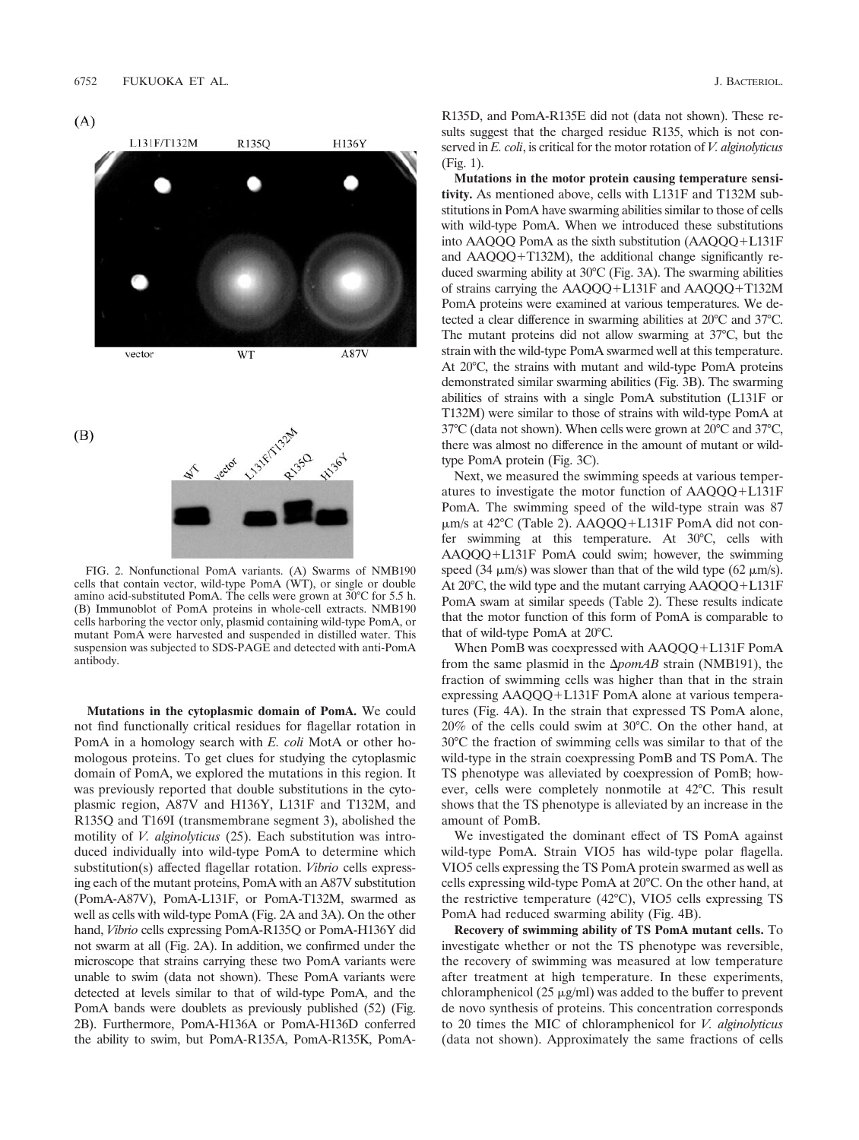

FIG. 2. Nonfunctional PomA variants. (A) Swarms of NMB190 cells that contain vector, wild-type PomA (WT), or single or double amino acid-substituted PomA. The cells were grown at 30°C for 5.5 h. (B) Immunoblot of PomA proteins in whole-cell extracts. NMB190 cells harboring the vector only, plasmid containing wild-type PomA, or mutant PomA were harvested and suspended in distilled water. This suspension was subjected to SDS-PAGE and detected with anti-PomA antibody.

**Mutations in the cytoplasmic domain of PomA.** We could not find functionally critical residues for flagellar rotation in PomA in a homology search with *E. coli* MotA or other homologous proteins. To get clues for studying the cytoplasmic domain of PomA, we explored the mutations in this region. It was previously reported that double substitutions in the cytoplasmic region, A87V and H136Y, L131F and T132M, and R135Q and T169I (transmembrane segment 3), abolished the motility of *V. alginolyticus* (25). Each substitution was introduced individually into wild-type PomA to determine which substitution(s) affected flagellar rotation. *Vibrio* cells expressing each of the mutant proteins, PomA with an A87V substitution (PomA-A87V), PomA-L131F, or PomA-T132M, swarmed as well as cells with wild-type PomA (Fig. 2A and 3A). On the other hand, *Vibrio* cells expressing PomA-R135Q or PomA-H136Y did not swarm at all (Fig. 2A). In addition, we confirmed under the microscope that strains carrying these two PomA variants were unable to swim (data not shown). These PomA variants were detected at levels similar to that of wild-type PomA, and the PomA bands were doublets as previously published (52) (Fig. 2B). Furthermore, PomA-H136A or PomA-H136D conferred the ability to swim, but PomA-R135A, PomA-R135K, PomA-

R135D, and PomA-R135E did not (data not shown). These results suggest that the charged residue R135, which is not conserved in *E. coli*, is critical for the motor rotation of *V. alginolyticus* (Fig. 1).

**Mutations in the motor protein causing temperature sensitivity.** As mentioned above, cells with L131F and T132M substitutions in PomA have swarming abilities similar to those of cells with wild-type PomA. When we introduced these substitutions into  $AAQQQ$  PomA as the sixth substitution  $(AAQQQ+L131F)$ and  $AAQQQ+T132M$ ), the additional change significantly reduced swarming ability at 30°C (Fig. 3A). The swarming abilities of strains carrying the  $AAQQQ+L131F$  and  $AAQQQ+T132M$ PomA proteins were examined at various temperatures. We detected a clear difference in swarming abilities at 20°C and 37°C. The mutant proteins did not allow swarming at 37°C, but the strain with the wild-type PomA swarmed well at this temperature. At 20°C, the strains with mutant and wild-type PomA proteins demonstrated similar swarming abilities (Fig. 3B). The swarming abilities of strains with a single PomA substitution (L131F or T132M) were similar to those of strains with wild-type PomA at 37°C (data not shown). When cells were grown at 20°C and 37°C, there was almost no difference in the amount of mutant or wildtype PomA protein (Fig. 3C).

Next, we measured the swimming speeds at various temperatures to investigate the motor function of  $AAQQQ+L131F$ PomA. The swimming speed of the wild-type strain was 87  $\mu$ m/s at 42°C (Table 2). AAQQQ+L131F PomA did not confer swimming at this temperature. At 30°C, cells with AAQQQ+L131F PomA could swim; however, the swimming speed (34  $\mu$ m/s) was slower than that of the wild type (62  $\mu$ m/s). At  $20^{\circ}$ C, the wild type and the mutant carrying  $AAQQQ+L131F$ PomA swam at similar speeds (Table 2). These results indicate that the motor function of this form of PomA is comparable to that of wild-type PomA at 20°C.

When PomB was coexpressed with AAQQQ+L131F PomA from the same plasmid in the  $\Delta p$ omAB strain (NMB191), the fraction of swimming cells was higher than that in the strain expressing  $AAQQQ+L131F$  PomA alone at various temperatures (Fig. 4A). In the strain that expressed TS PomA alone, 20% of the cells could swim at 30°C. On the other hand, at 30°C the fraction of swimming cells was similar to that of the wild-type in the strain coexpressing PomB and TS PomA. The TS phenotype was alleviated by coexpression of PomB; however, cells were completely nonmotile at 42°C. This result shows that the TS phenotype is alleviated by an increase in the amount of PomB.

We investigated the dominant effect of TS PomA against wild-type PomA. Strain VIO5 has wild-type polar flagella. VIO5 cells expressing the TS PomA protein swarmed as well as cells expressing wild-type PomA at 20°C. On the other hand, at the restrictive temperature (42°C), VIO5 cells expressing TS PomA had reduced swarming ability (Fig. 4B).

**Recovery of swimming ability of TS PomA mutant cells.** To investigate whether or not the TS phenotype was reversible, the recovery of swimming was measured at low temperature after treatment at high temperature. In these experiments, chloramphenicol (25  $\mu$ g/ml) was added to the buffer to prevent de novo synthesis of proteins. This concentration corresponds to 20 times the MIC of chloramphenicol for *V. alginolyticus* (data not shown). Approximately the same fractions of cells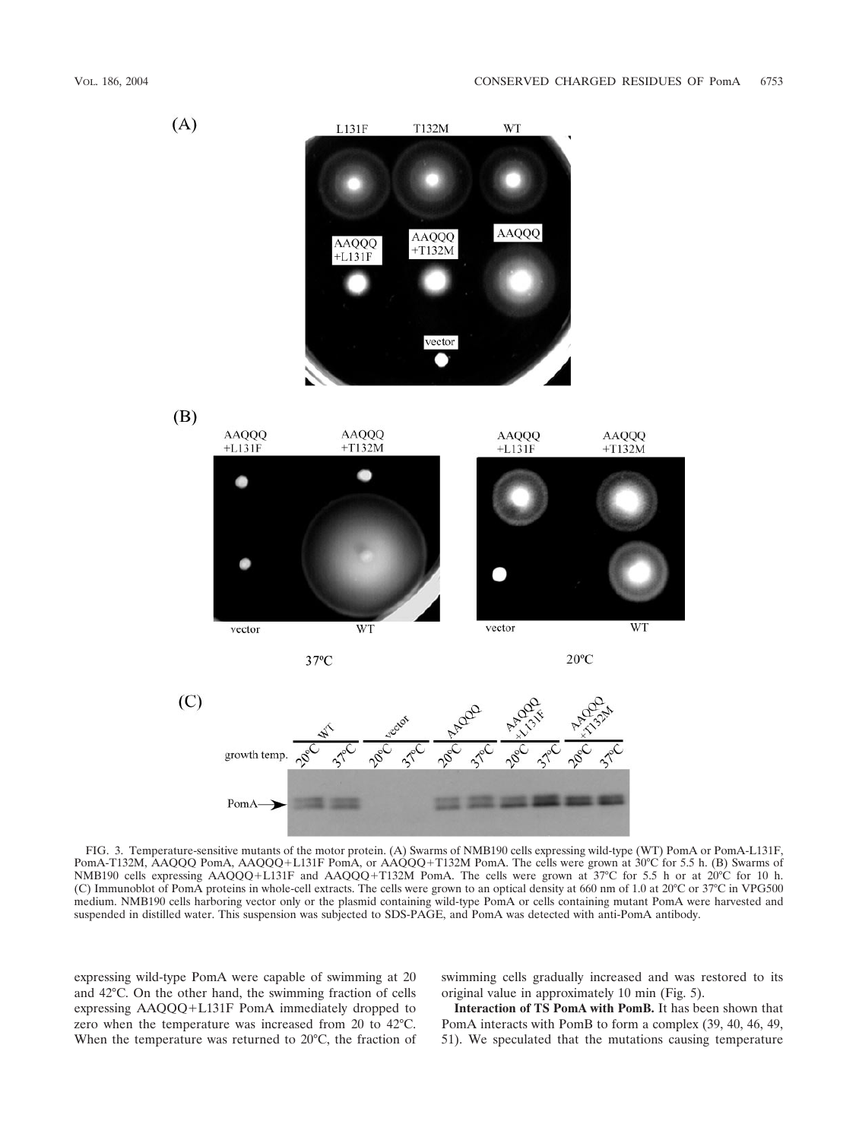

FIG. 3. Temperature-sensitive mutants of the motor protein. (A) Swarms of NMB190 cells expressing wild-type (WT) PomA or PomA-L131F, PomA-T132M, AAQQQ PomA, AAQQQ+L131F PomA, or AAQQQ+T132M PomA. The cells were grown at 30°C for 5.5 h. (B) Swarms of NMB190 cells expressing AAQQQ+L131F and AAQQQ+T132M PomA. The cells were grown at 37°C for 5.5 h or at 20°C for 10 h. (C) Immunoblot of PomA proteins in whole-cell extracts. The cells were grown to an optical density at 660 nm of 1.0 at 20°C or 37°C in VPG500 medium. NMB190 cells harboring vector only or the plasmid containing wild-type PomA or cells containing mutant PomA were harvested and suspended in distilled water. This suspension was subjected to SDS-PAGE, and PomA was detected with anti-PomA antibody.

expressing wild-type PomA were capable of swimming at 20 and 42°C. On the other hand, the swimming fraction of cells expressing AAQQQ+L131F PomA immediately dropped to zero when the temperature was increased from 20 to 42°C. When the temperature was returned to 20°C, the fraction of swimming cells gradually increased and was restored to its original value in approximately 10 min (Fig. 5).

**Interaction of TS PomA with PomB.** It has been shown that PomA interacts with PomB to form a complex (39, 40, 46, 49, 51). We speculated that the mutations causing temperature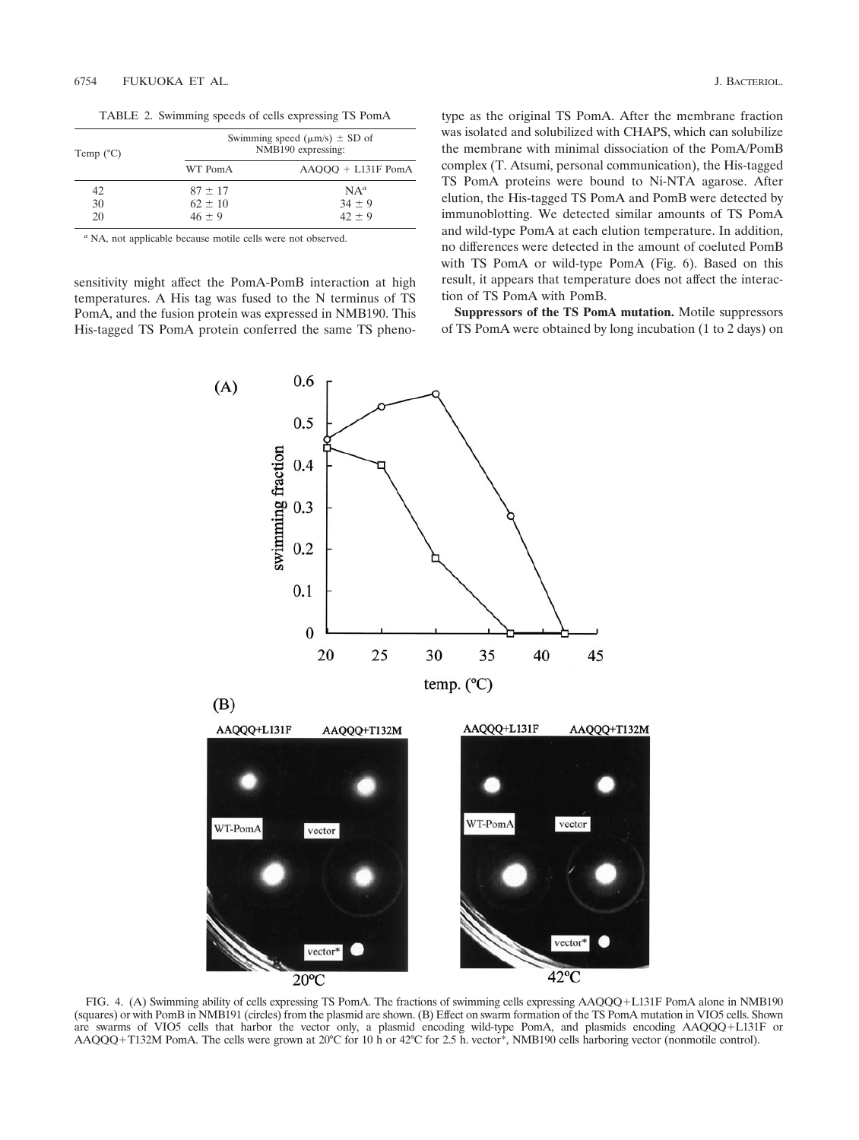TABLE 2. Swimming speeds of cells expressing TS PomA

| Temp $(^{\circ}C)$ | Swimming speed ( $\mu$ m/s) $\pm$ SD of<br>NMB190 expressing: |                      |  |
|--------------------|---------------------------------------------------------------|----------------------|--|
|                    | WT PomA                                                       | $AAOOO + L131F$ PomA |  |
| 42                 | $87 \pm 17$                                                   | $NA^a$               |  |
| 30                 | $62 \pm 10$                                                   | $34 \pm 9$           |  |
| 20                 | $46 \pm 9$                                                    | $42 + 9$             |  |

*<sup>a</sup>* NA, not applicable because motile cells were not observed.

sensitivity might affect the PomA-PomB interaction at high temperatures. A His tag was fused to the N terminus of TS PomA, and the fusion protein was expressed in NMB190. This His-tagged TS PomA protein conferred the same TS pheno-

 $(A)$ 

0.6

type as the original TS PomA. After the membrane fraction was isolated and solubilized with CHAPS, which can solubilize the membrane with minimal dissociation of the PomA/PomB complex (T. Atsumi, personal communication), the His-tagged TS PomA proteins were bound to Ni-NTA agarose. After elution, the His-tagged TS PomA and PomB were detected by immunoblotting. We detected similar amounts of TS PomA and wild-type PomA at each elution temperature. In addition, no differences were detected in the amount of coeluted PomB with TS PomA or wild-type PomA (Fig. 6). Based on this result, it appears that temperature does not affect the interaction of TS PomA with PomB.

**Suppressors of the TS PomA mutation.** Motile suppressors of TS PomA were obtained by long incubation (1 to 2 days) on



FIG. 4. (A) Swimming ability of cells expressing TS PomA. The fractions of swimming cells expressing AAQQQ+L131F PomA alone in NMB190 (squares) or with PomB in NMB191 (circles) from the plasmid are shown. (B) Effect on swarm formation of the TS PomA mutation in VIO5 cells. Shown are swarms of VIO5 cells that harbor the vector only, a plasmid encoding wild-type PomA, and plasmids encoding AAQQQ+L131F or AAQQQ+T132M PomA. The cells were grown at 20°C for 10 h or 42°C for 2.5 h. vector\*, NMB190 cells harboring vector (nonmotile control).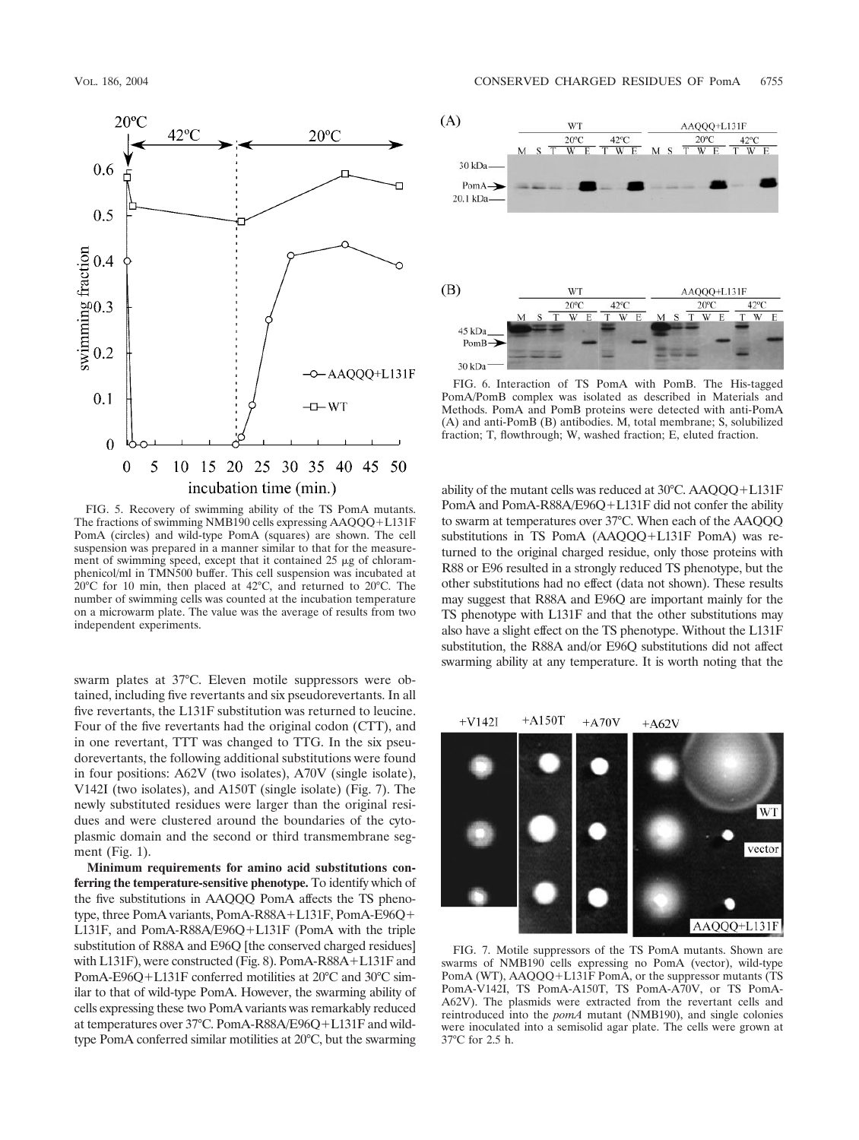

FIG. 5. Recovery of swimming ability of the TS PomA mutants. The fractions of swimming NMB190 cells expressing  $AAQQQ+L131F$ PomA (circles) and wild-type PomA (squares) are shown. The cell suspension was prepared in a manner similar to that for the measurement of swimming speed, except that it contained  $25 \mu g$  of chloramphenicol/ml in TMN500 buffer. This cell suspension was incubated at 20°C for 10 min, then placed at 42°C, and returned to 20°C. The number of swimming cells was counted at the incubation temperature on a microwarm plate. The value was the average of results from two independent experiments.

swarm plates at 37°C. Eleven motile suppressors were obtained, including five revertants and six pseudorevertants. In all five revertants, the L131F substitution was returned to leucine. Four of the five revertants had the original codon (CTT), and in one revertant, TTT was changed to TTG. In the six pseudorevertants, the following additional substitutions were found in four positions: A62V (two isolates), A70V (single isolate), V142I (two isolates), and A150T (single isolate) (Fig. 7). The newly substituted residues were larger than the original residues and were clustered around the boundaries of the cytoplasmic domain and the second or third transmembrane segment (Fig. 1).

**Minimum requirements for amino acid substitutions conferring the temperature-sensitive phenotype.** To identify which of the five substitutions in AAQQQ PomA affects the TS phenotype, three PomA variants, PomA-R88A+L131F, PomA-E96Q+ L131F, and PomA-R88A/E96O+L131F (PomA with the triple substitution of R88A and E96Q [the conserved charged residues] with L131F), were constructed (Fig. 8). PomA-R88A+L131F and PomA-E96Q+L131F conferred motilities at 20°C and 30°C similar to that of wild-type PomA. However, the swarming ability of cells expressing these two PomA variants was remarkably reduced at temperatures over 37°C. PomA-R88A/E96Q+L131F and wildtype PomA conferred similar motilities at 20°C, but the swarming



FIG. 6. Interaction of TS PomA with PomB. The His-tagged PomA/PomB complex was isolated as described in Materials and Methods. PomA and PomB proteins were detected with anti-PomA (A) and anti-PomB (B) antibodies. M, total membrane; S, solubilized fraction; T, flowthrough; W, washed fraction; E, eluted fraction.

ability of the mutant cells was reduced at  $30^{\circ}$ C. AAQQQ+L131F PomA and PomA-R88A/E96Q+L131F did not confer the ability to swarm at temperatures over 37°C. When each of the AAQQQ substitutions in TS PomA  $(AAQQQ+L131F$  PomA) was returned to the original charged residue, only those proteins with R88 or E96 resulted in a strongly reduced TS phenotype, but the other substitutions had no effect (data not shown). These results may suggest that R88A and E96Q are important mainly for the TS phenotype with L131F and that the other substitutions may also have a slight effect on the TS phenotype. Without the L131F substitution, the R88A and/or E96Q substitutions did not affect swarming ability at any temperature. It is worth noting that the



FIG. 7. Motile suppressors of the TS PomA mutants. Shown are swarms of NMB190 cells expressing no PomA (vector), wild-type PomA (WT), AAQQQ+L131F PomA, or the suppressor mutants (TS PomA-V142I, TS PomA-A150T, TS PomA-A70V, or TS PomA-A62V). The plasmids were extracted from the revertant cells and reintroduced into the *pomA* mutant (NMB190), and single colonies were inoculated into a semisolid agar plate. The cells were grown at 37°C for 2.5 h.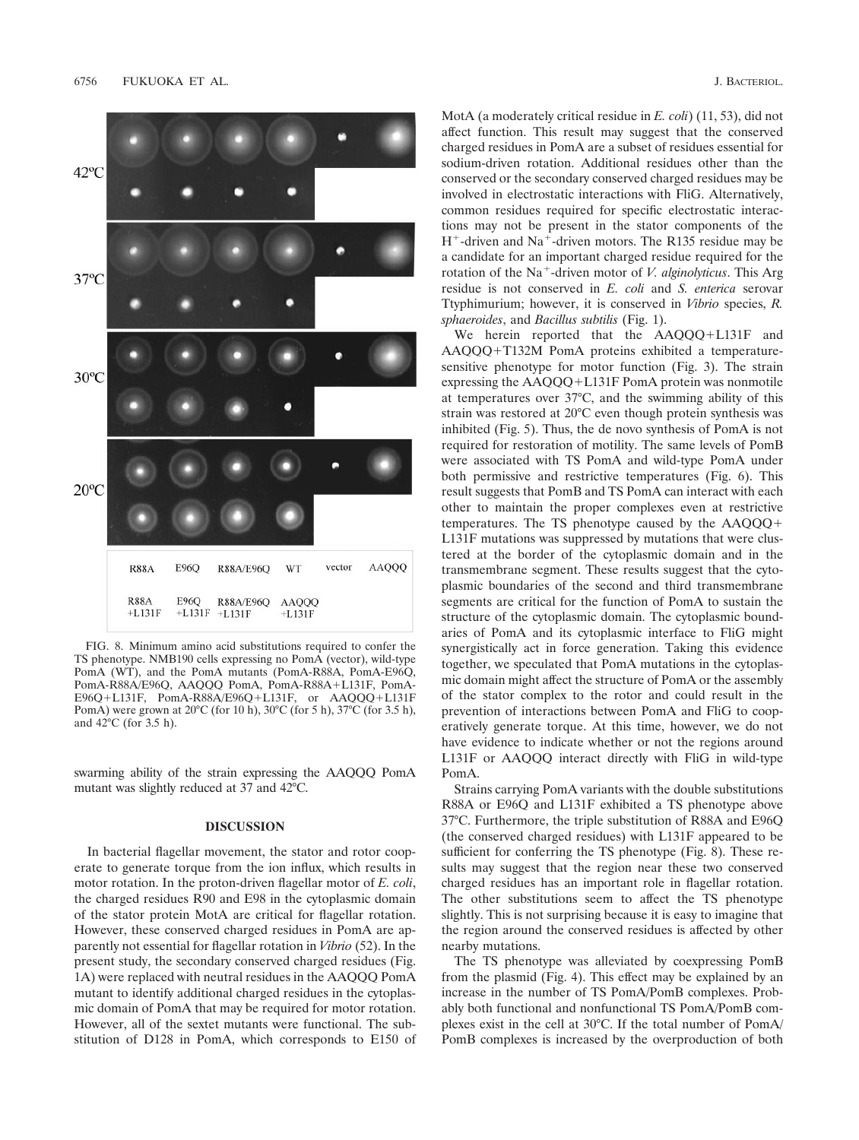

FIG. 8. Minimum amino acid substitutions required to confer the TS phenotype. NMB190 cells expressing no PomA (vector), wild-type PomA (WT), and the PomA mutants (PomA-R88A, PomA-E96Q, PomA-R88A/E96Q, AAQQQ PomA, PomA-R88A+L131F, PomA-E96Q+L131F, PomA-R88A/E96Q+L131F, or AAQQQ+L131F PomA) were grown at 20°C (for 10 h), 30°C (for 5 h), 37°C (for 3.5 h), and  $42^{\circ}$ C (for 3.5 h).

swarming ability of the strain expressing the AAQQQ PomA mutant was slightly reduced at 37 and 42°C.

## **DISCUSSION**

In bacterial flagellar movement, the stator and rotor cooperate to generate torque from the ion influx, which results in motor rotation. In the proton-driven flagellar motor of *E. coli*, the charged residues R90 and E98 in the cytoplasmic domain of the stator protein MotA are critical for flagellar rotation. However, these conserved charged residues in PomA are apparently not essential for flagellar rotation in *Vibrio* (52). In the present study, the secondary conserved charged residues (Fig. 1A) were replaced with neutral residues in the AAQQQ PomA mutant to identify additional charged residues in the cytoplasmic domain of PomA that may be required for motor rotation. However, all of the sextet mutants were functional. The substitution of D128 in PomA, which corresponds to E150 of MotA (a moderately critical residue in *E. coli*) (11, 53), did not affect function. This result may suggest that the conserved charged residues in PomA are a subset of residues essential for sodium-driven rotation. Additional residues other than the conserved or the secondary conserved charged residues may be involved in electrostatic interactions with FliG. Alternatively, common residues required for specific electrostatic interactions may not be present in the stator components of the  $H^+$ -driven and Na<sup>+</sup>-driven motors. The R135 residue may be a candidate for an important charged residue required for the rotation of the Na<sup>+</sup>-driven motor of *V. alginolyticus*. This Arg residue is not conserved in *E. coli* and *S. enterica* serovar Ttyphimurium; however, it is conserved in *Vibrio* species, *R. sphaeroides*, and *Bacillus subtilis* (Fig. 1).

We herein reported that the  $AAQQQ+L131F$  and  $AAQQQ+T132M$  PomA proteins exhibited a temperaturesensitive phenotype for motor function (Fig. 3). The strain expressing the  $AAQQQ+L131F$  PomA protein was nonmotile at temperatures over 37°C, and the swimming ability of this strain was restored at 20°C even though protein synthesis was inhibited (Fig. 5). Thus, the de novo synthesis of PomA is not required for restoration of motility. The same levels of PomB were associated with TS PomA and wild-type PomA under both permissive and restrictive temperatures (Fig. 6). This result suggests that PomB and TS PomA can interact with each other to maintain the proper complexes even at restrictive temperatures. The TS phenotype caused by the AAQQQ L131F mutations was suppressed by mutations that were clustered at the border of the cytoplasmic domain and in the transmembrane segment. These results suggest that the cytoplasmic boundaries of the second and third transmembrane segments are critical for the function of PomA to sustain the structure of the cytoplasmic domain. The cytoplasmic boundaries of PomA and its cytoplasmic interface to FliG might synergistically act in force generation. Taking this evidence together, we speculated that PomA mutations in the cytoplasmic domain might affect the structure of PomA or the assembly of the stator complex to the rotor and could result in the prevention of interactions between PomA and FliG to cooperatively generate torque. At this time, however, we do not have evidence to indicate whether or not the regions around L131F or AAQQQ interact directly with FliG in wild-type PomA.

Strains carrying PomA variants with the double substitutions R88A or E96Q and L131F exhibited a TS phenotype above 37°C. Furthermore, the triple substitution of R88A and E96Q (the conserved charged residues) with L131F appeared to be sufficient for conferring the TS phenotype (Fig. 8). These results may suggest that the region near these two conserved charged residues has an important role in flagellar rotation. The other substitutions seem to affect the TS phenotype slightly. This is not surprising because it is easy to imagine that the region around the conserved residues is affected by other nearby mutations.

The TS phenotype was alleviated by coexpressing PomB from the plasmid (Fig. 4). This effect may be explained by an increase in the number of TS PomA/PomB complexes. Probably both functional and nonfunctional TS PomA/PomB complexes exist in the cell at 30°C. If the total number of PomA/ PomB complexes is increased by the overproduction of both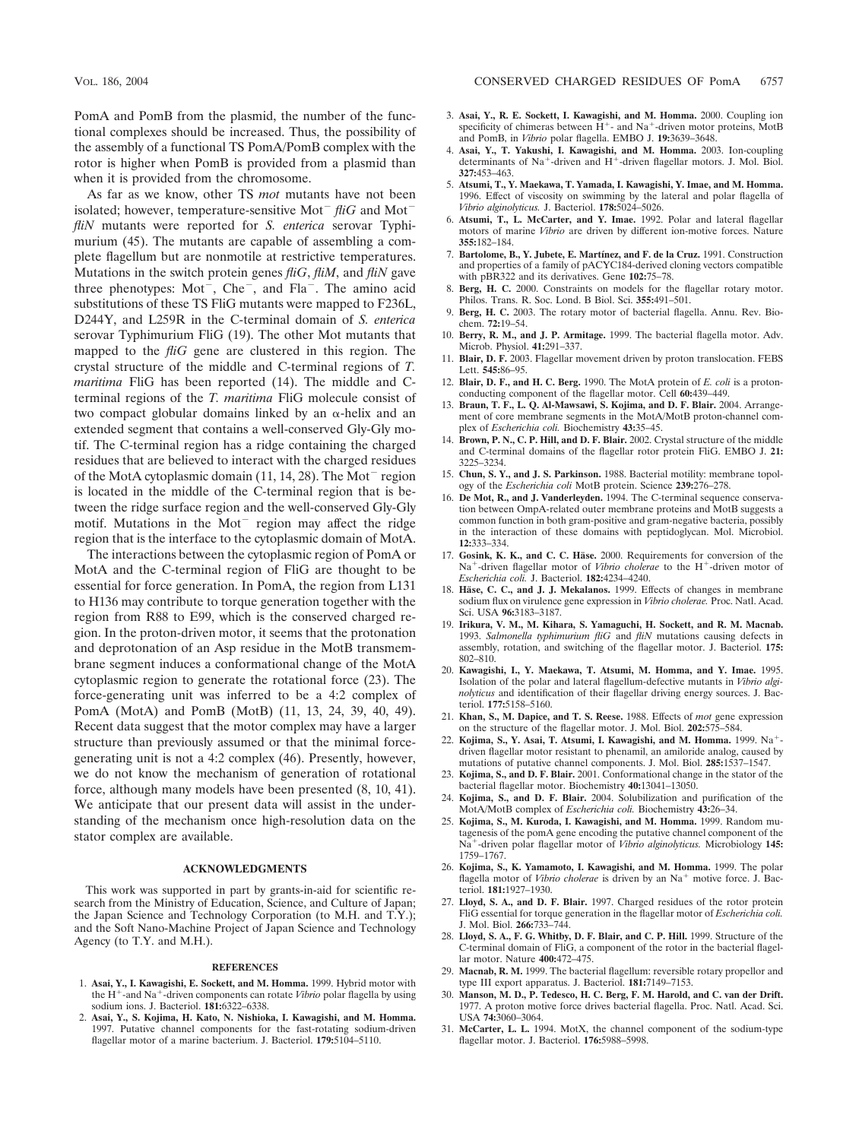PomA and PomB from the plasmid, the number of the functional complexes should be increased. Thus, the possibility of the assembly of a functional TS PomA/PomB complex with the rotor is higher when PomB is provided from a plasmid than when it is provided from the chromosome.

As far as we know, other TS *mot* mutants have not been isolated; however, temperature-sensitive Mot<sup>-</sup> fliG and Mot<sup>-</sup> *fliN* mutants were reported for *S. enterica* serovar Typhimurium (45). The mutants are capable of assembling a complete flagellum but are nonmotile at restrictive temperatures. Mutations in the switch protein genes *fliG*, *fliM*, and *fliN* gave three phenotypes:  $Mot^-$ ,  $Che^-$ , and  $Fla^-$ . The amino acid substitutions of these TS FliG mutants were mapped to F236L, D244Y, and L259R in the C-terminal domain of *S. enterica* serovar Typhimurium FliG (19). The other Mot mutants that mapped to the *fliG* gene are clustered in this region. The crystal structure of the middle and C-terminal regions of *T. maritima* FliG has been reported (14). The middle and Cterminal regions of the *T. maritima* FliG molecule consist of two compact globular domains linked by an  $\alpha$ -helix and an extended segment that contains a well-conserved Gly-Gly motif. The C-terminal region has a ridge containing the charged residues that are believed to interact with the charged residues of the MotA cytoplasmic domain  $(11, 14, 28)$ . The Mot<sup>-</sup> region is located in the middle of the C-terminal region that is between the ridge surface region and the well-conserved Gly-Gly motif. Mutations in the  $Mot^-$  region may affect the ridge region that is the interface to the cytoplasmic domain of MotA.

The interactions between the cytoplasmic region of PomA or MotA and the C-terminal region of FliG are thought to be essential for force generation. In PomA, the region from L131 to H136 may contribute to torque generation together with the region from R88 to E99, which is the conserved charged region. In the proton-driven motor, it seems that the protonation and deprotonation of an Asp residue in the MotB transmembrane segment induces a conformational change of the MotA cytoplasmic region to generate the rotational force (23). The force-generating unit was inferred to be a 4:2 complex of PomA (MotA) and PomB (MotB) (11, 13, 24, 39, 40, 49). Recent data suggest that the motor complex may have a larger structure than previously assumed or that the minimal forcegenerating unit is not a 4:2 complex (46). Presently, however, we do not know the mechanism of generation of rotational force, although many models have been presented (8, 10, 41). We anticipate that our present data will assist in the understanding of the mechanism once high-resolution data on the stator complex are available.

### **ACKNOWLEDGMENTS**

This work was supported in part by grants-in-aid for scientific research from the Ministry of Education, Science, and Culture of Japan; the Japan Science and Technology Corporation (to M.H. and T.Y.); and the Soft Nano-Machine Project of Japan Science and Technology Agency (to T.Y. and M.H.).

#### **REFERENCES**

- 1. **Asai, Y., I. Kawagishi, E. Sockett, and M. Homma.** 1999. Hybrid motor with the H<sup>+</sup>-and Na<sup>+</sup>-driven components can rotate *Vibrio* polar flagella by using sodium ions. J. Bacteriol. **181:**6322–6338.
- 2. **Asai, Y., S. Kojima, H. Kato, N. Nishioka, I. Kawagishi, and M. Homma.** 1997. Putative channel components for the fast-rotating sodium-driven flagellar motor of a marine bacterium. J. Bacteriol. **179:**5104–5110.
- 3. **Asai, Y., R. E. Sockett, I. Kawagishi, and M. Homma.** 2000. Coupling ion specificity of chimeras between  $H^+$ - and Na<sup>+</sup>-driven motor proteins, MotB and PomB, in *Vibrio* polar flagella. EMBO J. **19:**3639–3648.
- 4. **Asai, Y., T. Yakushi, I. Kawagishi, and M. Homma.** 2003. Ion-coupling determinants of Na<sup>+</sup>-driven and  $H^+$ -driven flagellar motors. J. Mol. Biol. **327:**453–463.
- 5. **Atsumi, T., Y. Maekawa, T. Yamada, I. Kawagishi, Y. Imae, and M. Homma.** 1996. Effect of viscosity on swimming by the lateral and polar flagella of *Vibrio alginolyticus.* J. Bacteriol. **178:**5024–5026.
- 6. **Atsumi, T., L. McCarter, and Y. Imae.** 1992. Polar and lateral flagellar motors of marine *Vibrio* are driven by different ion-motive forces. Nature **355:**182–184.
- 7. **Bartolome, B., Y. Jubete, E. Martínez, and F. de la Cruz.** 1991. Construction and properties of a family of pACYC184-derived cloning vectors compatible with pBR322 and its derivatives. Gene **102:**75–78.
- 8. **Berg, H. C.** 2000. Constraints on models for the flagellar rotary motor. Philos. Trans. R. Soc. Lond. B Biol. Sci. **355:**491–501.
- 9. **Berg, H. C.** 2003. The rotary motor of bacterial flagella. Annu. Rev. Biochem. **72:**19–54.
- 10. **Berry, R. M., and J. P. Armitage.** 1999. The bacterial flagella motor. Adv. Microb. Physiol. **41:**291–337.
- 11. **Blair, D. F.** 2003. Flagellar movement driven by proton translocation. FEBS Lett. **545:**86–95.
- 12. **Blair, D. F., and H. C. Berg.** 1990. The MotA protein of *E. coli* is a protonconducting component of the flagellar motor. Cell **60:**439–449.
- 13. **Braun, T. F., L. Q. Al-Mawsawi, S. Kojima, and D. F. Blair.** 2004. Arrangement of core membrane segments in the MotA/MotB proton-channel complex of *Escherichia coli.* Biochemistry **43:**35–45.
- 14. **Brown, P. N., C. P. Hill, and D. F. Blair.** 2002. Crystal structure of the middle and C-terminal domains of the flagellar rotor protein FliG. EMBO J. **21:** 3225–3234.
- 15. **Chun, S. Y., and J. S. Parkinson.** 1988. Bacterial motility: membrane topology of the *Escherichia coli* MotB protein. Science **239:**276–278.
- 16. **De Mot, R., and J. Vanderleyden.** 1994. The C-terminal sequence conservation between OmpA-related outer membrane proteins and MotB suggests a common function in both gram-positive and gram-negative bacteria, possibly in the interaction of these domains with peptidoglycan. Mol. Microbiol. **12:**333–334.
- 17. Gosink, K. K., and C. C. Häse. 2000. Requirements for conversion of the Na<sup>+</sup>-driven flagellar motor of *Vibrio cholerae* to the H<sup>+</sup>-driven motor of *Escherichia coli.* J. Bacteriol. **182:**4234–4240.
- 18. Häse, C. C., and J. J. Mekalanos. 1999. Effects of changes in membrane sodium flux on virulence gene expression in *Vibrio cholerae.* Proc. Natl. Acad. Sci. USA **96:**3183–3187.
- 19. **Irikura, V. M., M. Kihara, S. Yamaguchi, H. Sockett, and R. M. Macnab.** 1993. *Salmonella typhimurium fliG* and *fliN* mutations causing defects in assembly, rotation, and switching of the flagellar motor. J. Bacteriol. **175:** 802–810.
- 20. **Kawagishi, I., Y. Maekawa, T. Atsumi, M. Homma, and Y. Imae.** 1995. Isolation of the polar and lateral flagellum-defective mutants in *Vibrio alginolyticus* and identification of their flagellar driving energy sources. J. Bacteriol. **177:**5158–5160.
- 21. **Khan, S., M. Dapice, and T. S. Reese.** 1988. Effects of *mot* gene expression on the structure of the flagellar motor. J. Mol. Biol. **202:**575–584.
- 22. **Kojima, S., Y. Asai, T. Atsumi, I. Kawagishi, and M. Homma.** 1999. Na driven flagellar motor resistant to phenamil, an amiloride analog, caused by mutations of putative channel components. J. Mol. Biol. **285:**1537–1547.
- 23. **Kojima, S., and D. F. Blair.** 2001. Conformational change in the stator of the bacterial flagellar motor. Biochemistry **40:**13041–13050.
- 24. **Kojima, S., and D. F. Blair.** 2004. Solubilization and purification of the MotA/MotB complex of *Escherichia coli.* Biochemistry **43:**26–34.
- 25. **Kojima, S., M. Kuroda, I. Kawagishi, and M. Homma.** 1999. Random mutagenesis of the pomA gene encoding the putative channel component of the Na<sup>+</sup>-driven polar flagellar motor of *Vibrio alginolyticus*. Microbiology 145: 1759–1767.
- 26. **Kojima, S., K. Yamamoto, I. Kawagishi, and M. Homma.** 1999. The polar flagella motor of *Vibrio cholerae* is driven by an Na<sup>+</sup> motive force. J. Bacteriol. **181:**1927–1930.
- 27. **Lloyd, S. A., and D. F. Blair.** 1997. Charged residues of the rotor protein FliG essential for torque generation in the flagellar motor of *Escherichia coli.* J. Mol. Biol. **266:**733–744.
- 28. **Lloyd, S. A., F. G. Whitby, D. F. Blair, and C. P. Hill.** 1999. Structure of the C-terminal domain of FliG, a component of the rotor in the bacterial flagellar motor. Nature **400:**472–475.
- 29. **Macnab, R. M.** 1999. The bacterial flagellum: reversible rotary propellor and type III export apparatus. J. Bacteriol. **181:**7149–7153.
- 30. **Manson, M. D., P. Tedesco, H. C. Berg, F. M. Harold, and C. van der Drift.** 1977. A proton motive force drives bacterial flagella. Proc. Natl. Acad. Sci. USA **74:**3060–3064.
- 31. **McCarter, L. L.** 1994. MotX, the channel component of the sodium-type flagellar motor. J. Bacteriol. **176:**5988–5998.